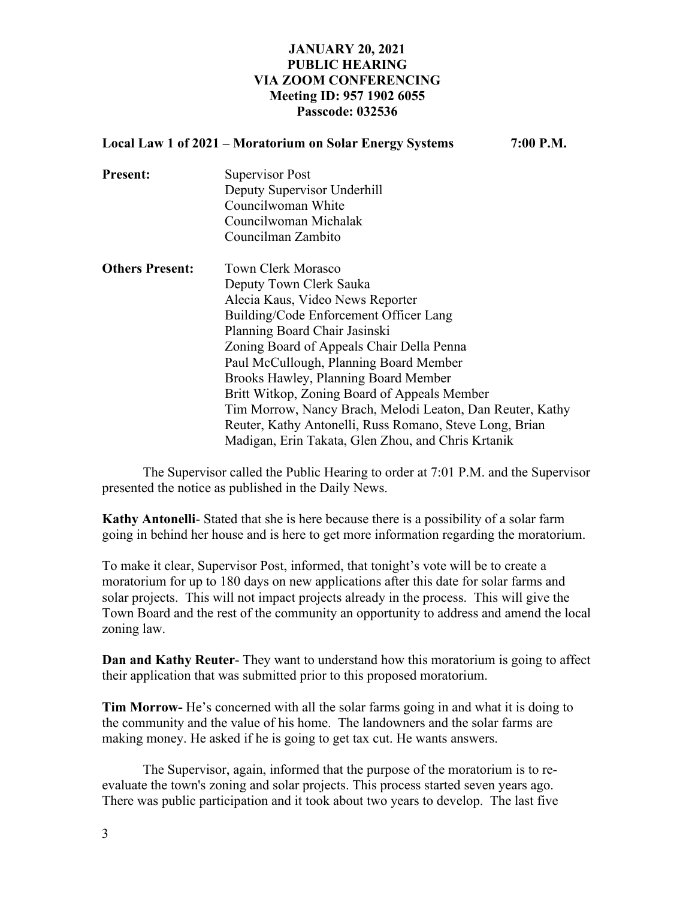## **JANUARY 20, 2021 PUBLIC HEARING VIA ZOOM CONFERENCING Meeting ID: 957 1902 6055 Passcode: 032536**

|                        | Local Law 1 of 2021 - Moratorium on Solar Energy Systems<br>7:00 P.M. |  |
|------------------------|-----------------------------------------------------------------------|--|
| <b>Present:</b>        | Supervisor Post                                                       |  |
|                        | Deputy Supervisor Underhill                                           |  |
|                        | Councilwoman White                                                    |  |
|                        | Councilwoman Michalak                                                 |  |
|                        | Councilman Zambito                                                    |  |
| <b>Others Present:</b> | <b>Town Clerk Morasco</b>                                             |  |
|                        | Deputy Town Clerk Sauka                                               |  |
|                        | Alecia Kaus, Video News Reporter                                      |  |
|                        | Building/Code Enforcement Officer Lang                                |  |
|                        | Planning Board Chair Jasinski                                         |  |
|                        | Zoning Board of Appeals Chair Della Penna                             |  |
|                        | Paul McCullough, Planning Board Member                                |  |
|                        | Brooks Hawley, Planning Board Member                                  |  |
|                        | Britt Witkop, Zoning Board of Appeals Member                          |  |
|                        | Tim Morrow, Nancy Brach, Melodi Leaton, Dan Reuter, Kathy             |  |
|                        | Reuter, Kathy Antonelli, Russ Romano, Steve Long, Brian               |  |
|                        | Madigan, Erin Takata, Glen Zhou, and Chris Krtanik                    |  |

The Supervisor called the Public Hearing to order at 7:01 P.M. and the Supervisor presented the notice as published in the Daily News.

**Kathy Antonelli**- Stated that she is here because there is a possibility of a solar farm going in behind her house and is here to get more information regarding the moratorium.

To make it clear, Supervisor Post, informed, that tonight's vote will be to create a moratorium for up to 180 days on new applications after this date for solar farms and solar projects. This will not impact projects already in the process. This will give the Town Board and the rest of the community an opportunity to address and amend the local zoning law.

**Dan and Kathy Reuter**- They want to understand how this moratorium is going to affect their application that was submitted prior to this proposed moratorium.

**Tim Morrow-** He's concerned with all the solar farms going in and what it is doing to the community and the value of his home. The landowners and the solar farms are making money. He asked if he is going to get tax cut. He wants answers.

The Supervisor, again, informed that the purpose of the moratorium is to reevaluate the town's zoning and solar projects. This process started seven years ago. There was public participation and it took about two years to develop. The last five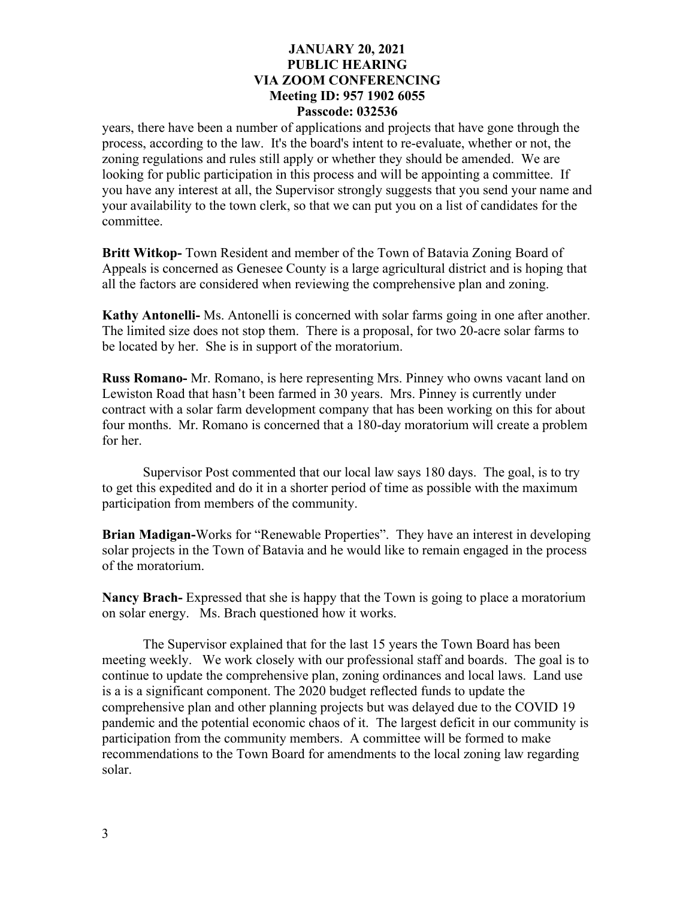## **JANUARY 20, 2021 PUBLIC HEARING VIA ZOOM CONFERENCING Meeting ID: 957 1902 6055 Passcode: 032536**

years, there have been a number of applications and projects that have gone through the process, according to the law. It's the board's intent to re-evaluate, whether or not, the zoning regulations and rules still apply or whether they should be amended. We are looking for public participation in this process and will be appointing a committee. If you have any interest at all, the Supervisor strongly suggests that you send your name and your availability to the town clerk, so that we can put you on a list of candidates for the committee.

**Britt Witkop-** Town Resident and member of the Town of Batavia Zoning Board of Appeals is concerned as Genesee County is a large agricultural district and is hoping that all the factors are considered when reviewing the comprehensive plan and zoning.

**Kathy Antonelli-** Ms. Antonelli is concerned with solar farms going in one after another. The limited size does not stop them. There is a proposal, for two 20-acre solar farms to be located by her. She is in support of the moratorium.

**Russ Romano-** Mr. Romano, is here representing Mrs. Pinney who owns vacant land on Lewiston Road that hasn't been farmed in 30 years. Mrs. Pinney is currently under contract with a solar farm development company that has been working on this for about four months. Mr. Romano is concerned that a 180-day moratorium will create a problem for her.

Supervisor Post commented that our local law says 180 days. The goal, is to try to get this expedited and do it in a shorter period of time as possible with the maximum participation from members of the community.

**Brian Madigan-**Works for "Renewable Properties". They have an interest in developing solar projects in the Town of Batavia and he would like to remain engaged in the process of the moratorium.

**Nancy Brach-** Expressed that she is happy that the Town is going to place a moratorium on solar energy. Ms. Brach questioned how it works.

The Supervisor explained that for the last 15 years the Town Board has been meeting weekly. We work closely with our professional staff and boards. The goal is to continue to update the comprehensive plan, zoning ordinances and local laws. Land use is a is a significant component. The 2020 budget reflected funds to update the comprehensive plan and other planning projects but was delayed due to the COVID 19 pandemic and the potential economic chaos of it. The largest deficit in our community is participation from the community members. A committee will be formed to make recommendations to the Town Board for amendments to the local zoning law regarding solar.